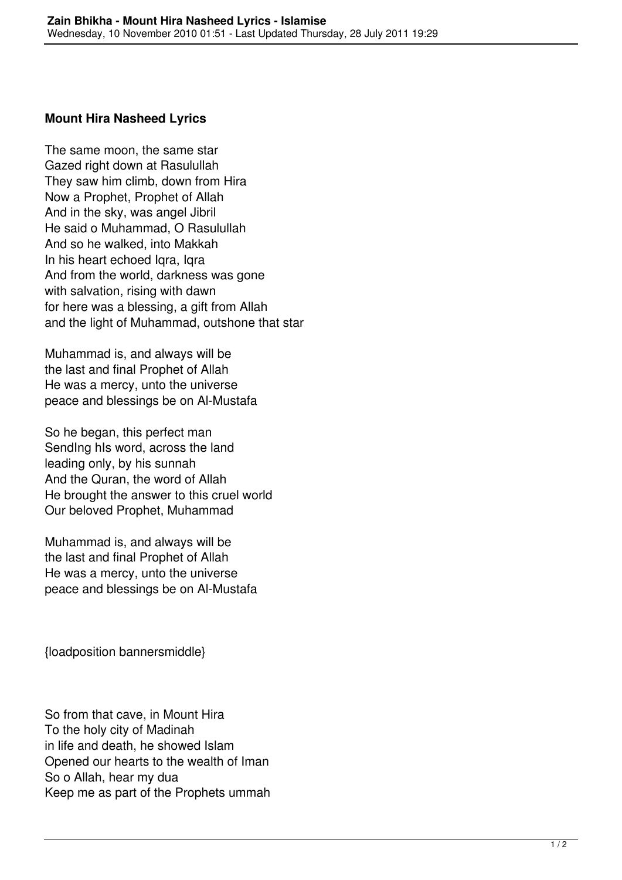## **Mount Hira Nasheed Lyrics**

The same moon, the same star Gazed right down at Rasulullah They saw him climb, down from Hira Now a Prophet, Prophet of Allah And in the sky, was angel Jibril He said o Muhammad, O Rasulullah And so he walked, into Makkah In his heart echoed Iqra, Iqra And from the world, darkness was gone with salvation, rising with dawn for here was a blessing, a gift from Allah and the light of Muhammad, outshone that star

Muhammad is, and always will be the last and final Prophet of Allah He was a mercy, unto the universe peace and blessings be on Al-Mustafa

So he began, this perfect man Sending his word, across the land leading only, by his sunnah And the Quran, the word of Allah He brought the answer to this cruel world Our beloved Prophet, Muhammad

Muhammad is, and always will be the last and final Prophet of Allah He was a mercy, unto the universe peace and blessings be on Al-Mustafa

{loadposition bannersmiddle}

So from that cave, in Mount Hira To the holy city of Madinah in life and death, he showed Islam Opened our hearts to the wealth of Iman So o Allah, hear my dua Keep me as part of the Prophets ummah